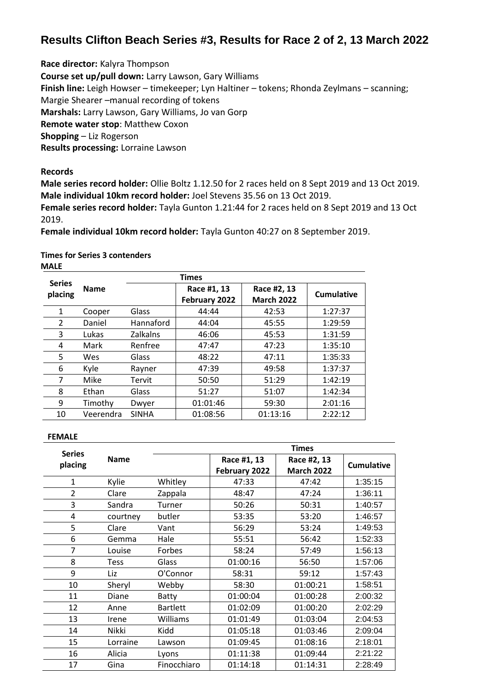## **Results Clifton Beach Series #3, Results for Race 2 of 2, 13 March 2022**

**Race director:** Kalyra Thompson

**Course set up/pull down:** Larry Lawson, Gary Williams

**Finish line:** Leigh Howser – timekeeper; Lyn Haltiner – tokens; Rhonda Zeylmans – scanning;

Margie Shearer –manual recording of tokens

**Marshals:** Larry Lawson, Gary Williams, Jo van Gorp

**Remote water stop**: Matthew Coxon

**Shopping** – Liz Rogerson

**Results processing:** Lorraine Lawson

**Records**

**Male series record holder:** Ollie Boltz 1.12.50 for 2 races held on 8 Sept 2019 and 13 Oct 2019. **Male individual 10km record holder:** Joel Stevens 35.56 on 13 Oct 2019.

**Female series record holder:** Tayla Gunton 1.21:44 for 2 races held on 8 Sept 2019 and 13 Oct 2019.

**Female individual 10km record holder:** Tayla Gunton 40:27 on 8 September 2019.

**Times for Series 3 contenders** 

**MALE**

| <b>Series</b> |             |                 | <b>Times</b>                 |                                  |            |
|---------------|-------------|-----------------|------------------------------|----------------------------------|------------|
| placing       | <b>Name</b> |                 | Race #1, 13<br>February 2022 | Race #2, 13<br><b>March 2022</b> | Cumulative |
| 1             | Cooper      | Glass           | 44:44                        | 42:53                            | 1:27:37    |
| 2             | Daniel      | Hannaford       | 44:04                        | 45:55                            | 1:29:59    |
| 3             | Lukas       | <b>Zalkalns</b> | 46:06                        | 45:53                            | 1:31:59    |
| 4             | Mark        | Renfree         | 47:47                        | 47:23                            | 1:35:10    |
| 5             | Wes         | Glass           | 48:22                        | 47:11                            | 1:35:33    |
| 6             | Kyle        | Rayner          | 47:39                        | 49:58                            | 1:37:37    |
| 7             | Mike        | Tervit          | 50:50                        | 51:29                            | 1:42:19    |
| 8             | Ethan       | Glass           | 51:27                        | 51:07                            | 1:42:34    |
| 9             | Timothy     | Dwyer           | 01:01:46                     | 59:30                            | 2:01:16    |
| 10            | Veerendra   | <b>SINHA</b>    | 01:08:56                     | 01:13:16                         | 2:22:12    |

## **FEMALE**

| <b>Series</b> |             | <b>Times</b>    |               |                   |                   |  |  |
|---------------|-------------|-----------------|---------------|-------------------|-------------------|--|--|
| placing       | <b>Name</b> |                 | Race #1, 13   | Race #2, 13       | <b>Cumulative</b> |  |  |
|               |             |                 | February 2022 | <b>March 2022</b> |                   |  |  |
| $\mathbf{1}$  | Kylie       | Whitley         | 47:33         | 47:42             | 1:35:15           |  |  |
| 2             | Clare       | Zappala         | 48:47         | 47:24             | 1:36:11           |  |  |
| 3             | Sandra      | Turner          | 50:26         | 50:31             | 1:40:57           |  |  |
| 4             | courtney    | butler          | 53:35         | 53:20             | 1:46:57           |  |  |
| 5             | Clare       | Vant            | 56:29         | 53:24             | 1:49:53           |  |  |
| 6             | Gemma       | Hale            | 55:51         | 56:42             | 1:52:33           |  |  |
| 7             | Louise      | Forbes          | 58:24         | 57:49             | 1:56:13           |  |  |
| 8             | <b>Tess</b> | Glass           | 01:00:16      | 56:50             | 1:57:06           |  |  |
| 9             | Liz         | O'Connor        | 58:31         | 59:12             | 1:57:43           |  |  |
| 10            | Sheryl      | Webby           | 58:30         | 01:00:21          | 1:58:51           |  |  |
| 11            | Diane       | Batty           | 01:00:04      | 01:00:28          | 2:00:32           |  |  |
| 12            | Anne        | <b>Bartlett</b> | 01:02:09      | 01:00:20          | 2:02:29           |  |  |
| 13            | Irene       | Williams        | 01:01:49      | 01:03:04          | 2:04:53           |  |  |
| 14            | Nikki       | Kidd            | 01:05:18      | 01:03:46          | 2:09:04           |  |  |
| 15            | Lorraine    | Lawson          | 01:09:45      | 01:08:16          | 2:18:01           |  |  |
| 16            | Alicia      | Lyons           | 01:11:38      | 01:09:44          | 2:21:22           |  |  |
| 17            | Gina        | Finocchiaro     | 01:14:18      | 01:14:31          | 2:28:49           |  |  |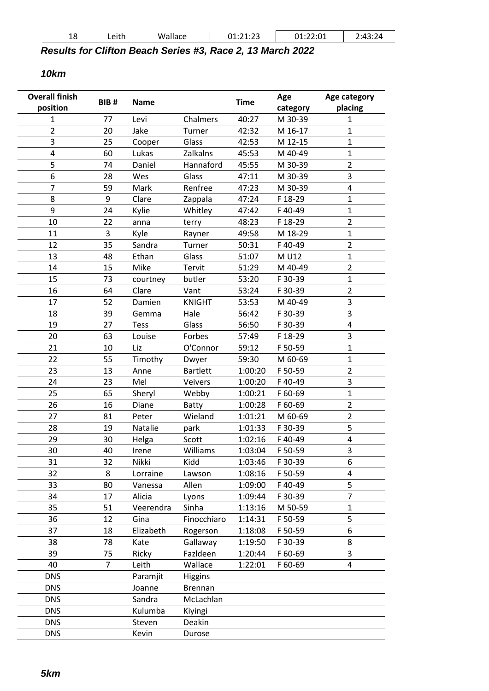| 18 | Leith | Wallace | 11.22<br>. רר<br>01.L1.LJ | 01:22:01 | $\cdot$ 1 $\sim$<br>43:24 |
|----|-------|---------|---------------------------|----------|---------------------------|
|    |       |         |                           |          |                           |

*Results for Clifton Beach Series #3, Race 2, 13 March 2022*

*10km*

| <b>Overall finish</b> | BIB#           | <b>Name</b> |                 | <b>Time</b> | Age      | Age category   |
|-----------------------|----------------|-------------|-----------------|-------------|----------|----------------|
| position              |                |             |                 |             | category | placing        |
| $\mathbf{1}$          | 77             | Levi        | Chalmers        | 40:27       | M 30-39  | $\mathbf{1}$   |
| $\overline{2}$        | 20             | Jake        | Turner          | 42:32       | M 16-17  | $\mathbf{1}$   |
| 3                     | 25             | Cooper      | Glass           | 42:53       | M 12-15  | $\mathbf{1}$   |
| 4                     | 60             | Lukas       | Zalkalns        | 45:53       | M 40-49  | $\mathbf 1$    |
| 5                     | 74             | Daniel      | Hannaford       | 45:55       | M 30-39  | $\overline{2}$ |
| 6                     | 28             | Wes         | Glass           | 47:11       | M 30-39  | 3              |
| 7                     | 59             | Mark        | Renfree         | 47:23       | M 30-39  | 4              |
| 8                     | 9              | Clare       | Zappala         | 47:24       | F 18-29  | $\mathbf{1}$   |
| 9                     | 24             | Kylie       | Whitley         | 47:42       | F40-49   | $\mathbf{1}$   |
| 10                    | 22             | anna        | terry           | 48:23       | F 18-29  | $\overline{2}$ |
| 11                    | 3              | Kyle        | Rayner          | 49:58       | M 18-29  | $\mathbf{1}$   |
| 12                    | 35             | Sandra      | Turner          | 50:31       | F40-49   | $\overline{2}$ |
| 13                    | 48             | Ethan       | Glass           | 51:07       | M U12    | $\mathbf{1}$   |
| 14                    | 15             | Mike        | Tervit          | 51:29       | M 40-49  | $\overline{2}$ |
| 15                    | 73             | courtney    | butler          | 53:20       | F 30-39  | $\mathbf{1}$   |
| 16                    | 64             | Clare       | Vant            | 53:24       | F 30-39  | $\overline{2}$ |
| 17                    | 52             | Damien      | <b>KNIGHT</b>   | 53:53       | M 40-49  | 3              |
| 18                    | 39             | Gemma       | Hale            | 56:42       | F 30-39  | 3              |
| 19                    | 27             | <b>Tess</b> | Glass           | 56:50       | F 30-39  | 4              |
| 20                    | 63             | Louise      | Forbes          | 57:49       | F 18-29  | 3              |
| 21                    | 10             | Liz         | O'Connor        | 59:12       | F 50-59  | $\mathbf{1}$   |
| 22                    | 55             | Timothy     | Dwyer           | 59:30       | M 60-69  | $\mathbf{1}$   |
| 23                    | 13             | Anne        | <b>Bartlett</b> | 1:00:20     | F 50-59  | $\overline{2}$ |
| 24                    | 23             | Mel         | Veivers         | 1:00:20     | F40-49   | 3              |
| 25                    | 65             | Sheryl      | Webby           | 1:00:21     | F 60-69  | $\mathbf{1}$   |
| 26                    | 16             | Diane       | Batty           | 1:00:28     | F 60-69  | $\overline{2}$ |
| 27                    | 81             | Peter       | Wieland         | 1:01:21     | M 60-69  | $\overline{2}$ |
| 28                    | 19             | Natalie     | park            | 1:01:33     | F 30-39  | 5              |
| 29                    | 30             | Helga       | Scott           | 1:02:16     | F40-49   | 4              |
| 30                    | 40             | Irene       | Williams        | 1:03:04     | F 50-59  | 3              |
| 31                    | 32             | Nikki       | Kidd            | 1:03:46     | F 30-39  | 6              |
| 32                    | 8              | Lorraine    | Lawson          | 1:08:16     | F 50-59  | 4              |
| 33                    | 80             | Vanessa     | Allen           | 1:09:00     | F40-49   | 5              |
| 34                    | 17             | Alicia      | Lyons           | 1:09:44     | F 30-39  | $\overline{7}$ |
| 35                    | 51             | Veerendra   | Sinha           | 1:13:16     | M 50-59  | $\mathbf{1}$   |
| 36                    | 12             | Gina        | Finocchiaro     | 1:14:31     | F 50-59  | 5              |
| 37                    | 18             | Elizabeth   | Rogerson        | 1:18:08     | F 50-59  | 6              |
| 38                    | 78             | Kate        | Gallaway        | 1:19:50     | F 30-39  | 8              |
| 39                    | 75             | Ricky       | Fazldeen        | 1:20:44     | F 60-69  | 3              |
| 40                    | $\overline{7}$ | Leith       | Wallace         | 1:22:01     | F 60-69  | 4              |
| <b>DNS</b>            |                | Paramjit    | <b>Higgins</b>  |             |          |                |
| <b>DNS</b>            |                | Joanne      | Brennan         |             |          |                |
| <b>DNS</b>            |                | Sandra      | McLachlan       |             |          |                |
| <b>DNS</b>            |                | Kulumba     | Kiyingi         |             |          |                |
| <b>DNS</b>            |                | Steven      | Deakin          |             |          |                |
| <b>DNS</b>            |                | Kevin       | Durose          |             |          |                |
|                       |                |             |                 |             |          |                |